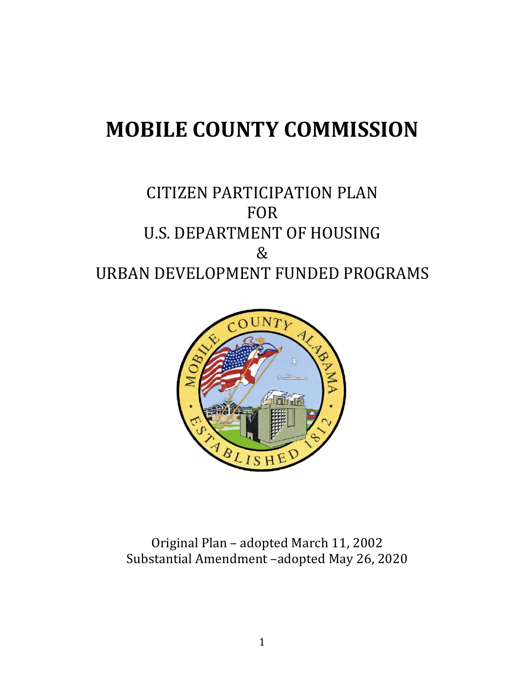# **MOBILE COUNTY COMMISSION**

## CITIZEN PARTICIPATION PLAN FOR U.S. DEPARTMENT OF HOUSING & URBAN DEVELOPMENT FUNDED PROGRAMS



Original Plan – adopted March 11, 2002 Substantial Amendment –adopted May 26, 2020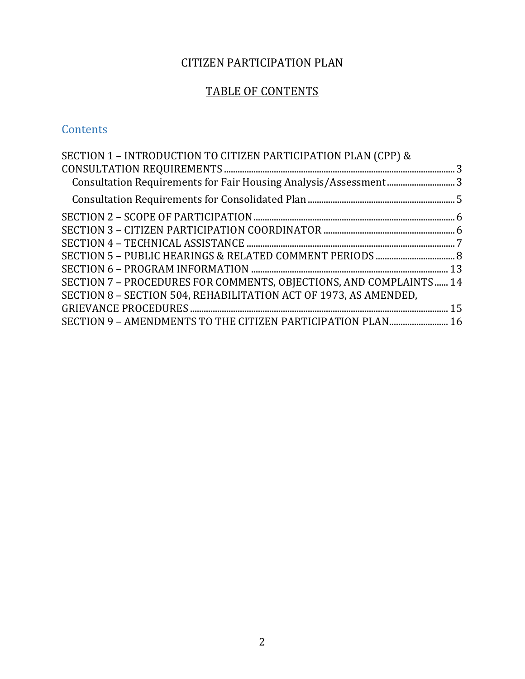## CITIZEN PARTICIPATION PLAN

## TABLE OF CONTENTS

### **Contents**

| SECTION 1 - INTRODUCTION TO CITIZEN PARTICIPATION PLAN (CPP) &     |  |
|--------------------------------------------------------------------|--|
|                                                                    |  |
|                                                                    |  |
|                                                                    |  |
|                                                                    |  |
|                                                                    |  |
|                                                                    |  |
|                                                                    |  |
|                                                                    |  |
| SECTION 7 - PROCEDURES FOR COMMENTS, OBJECTIONS, AND COMPLAINTS 14 |  |
| SECTION 8 - SECTION 504, REHABILITATION ACT OF 1973, AS AMENDED,   |  |
|                                                                    |  |
| SECTION 9 - AMENDMENTS TO THE CITIZEN PARTICIPATION PLAN 16        |  |
|                                                                    |  |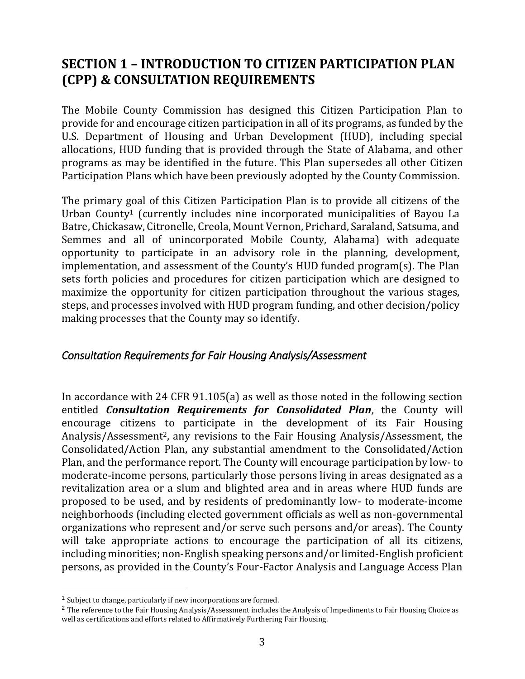## <span id="page-2-0"></span>**SECTION 1 – INTRODUCTION TO CITIZEN PARTICIPATION PLAN (CPP) & CONSULTATION REQUIREMENTS**

The Mobile County Commission has designed this Citizen Participation Plan to provide for and encourage citizen participation in all of its programs, as funded by the U.S. Department of Housing and Urban Development (HUD), including special allocations, HUD funding that is provided through the State of Alabama, and other programs as may be identified in the future. This Plan supersedes all other Citizen Participation Plans which have been previously adopted by the County Commission.

The primary goal of this Citizen Participation Plan is to provide all citizens of the Urban County<sup>1</sup> (currently includes nine incorporated municipalities of Bayou La Batre, Chickasaw, Citronelle, Creola, Mount Vernon, Prichard, Saraland, Satsuma, and Semmes and all of unincorporated Mobile County, Alabama) with adequate opportunity to participate in an advisory role in the planning, development, implementation, and assessment of the County's HUD funded program(s). The Plan sets forth policies and procedures for citizen participation which are designed to maximize the opportunity for citizen participation throughout the various stages, steps, and processes involved with HUD program funding, and other decision/policy making processes that the County may so identify.

#### <span id="page-2-1"></span>*Consultation Requirements for Fair Housing Analysis/Assessment*

In accordance with 24 CFR 91.105(a) as well as those noted in the following section entitled *Consultation Requirements for Consolidated Plan*, the County will encourage citizens to participate in the development of its Fair Housing Analysis/Assessment2, any revisions to the Fair Housing Analysis/Assessment, the Consolidated/Action Plan, any substantial amendment to the Consolidated/Action Plan, and the performance report. The County will encourage participation by low- to moderate-income persons, particularly those persons living in areas designated as a revitalization area or a slum and blighted area and in areas where HUD funds are proposed to be used, and by residents of predominantly low- to moderate-income neighborhoods (including elected government officials as well as non-governmental organizations who represent and/or serve such persons and/or areas). The County will take appropriate actions to encourage the participation of all its citizens, including minorities; non-English speaking persons and/or limited-English proficient persons, as provided in the County's Four-Factor Analysis and Language Access Plan

<sup>1</sup> Subject to change, particularly if new incorporations are formed.

<sup>&</sup>lt;sup>2</sup> The reference to the Fair Housing Analysis/Assessment includes the Analysis of Impediments to Fair Housing Choice as well as certifications and efforts related to Affirmatively Furthering Fair Housing.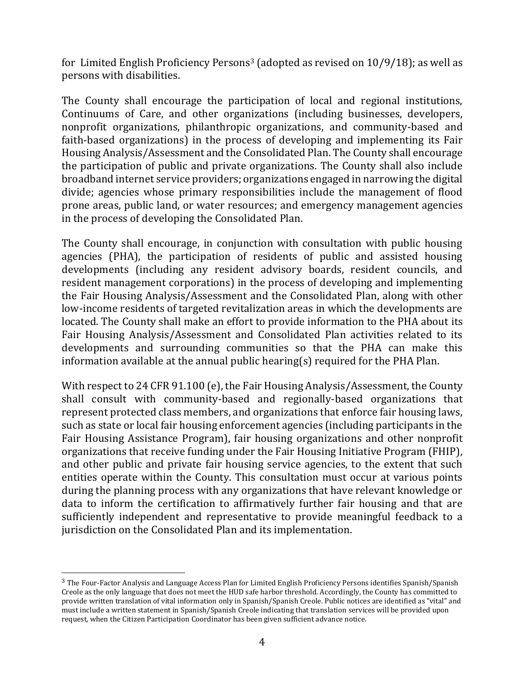for Limited English Proficiency Persons<sup>3</sup> (adopted as revised on  $10/9/18$ ); as well as persons with disabilities.

The County shall encourage the participation of local and regional institutions, Continuums of Care, and other organizations (including businesses, developers, nonprofit organizations, philanthropic organizations, and community-based and faith-based organizations) in the process of developing and implementing its Fair Housing Analysis/Assessment and the Consolidated Plan. The County shall encourage the participation of public and private organizations. The County shall also include broadband internet service providers; organizations engaged in narrowing the digital divide; agencies whose primary responsibilities include the management of flood prone areas, public land, or water resources; and emergency management agencies in the process of developing the Consolidated Plan.

The County shall encourage, in conjunction with consultation with public housing agencies (PHA), the participation of residents of public and assisted housing developments (including any resident advisory boards, resident councils, and resident management corporations) in the process of developing and implementing the Fair Housing Analysis/Assessment and the Consolidated Plan, along with other low-income residents of targeted revitalization areas in which the developments are located. The County shall make an effort to provide information to the PHA about its Fair Housing Analysis/Assessment and Consolidated Plan activities related to its developments and surrounding communities so that the PHA can make this information available at the annual public hearing(s) required for the PHA Plan.

With respect to 24 CFR 91.100 (e), the Fair Housing Analysis/Assessment, the County shall consult with community-based and regionally-based organizations that represent protected class members, and organizations that enforce fair housing laws, such as state or local fair housing enforcement agencies (including participants in the Fair Housing Assistance Program), fair housing organizations and other nonprofit organizations that receive funding under the Fair Housing Initiative Program (FHIP), and other public and private fair housing service agencies, to the extent that such entities operate within the County. This consultation must occur at various points during the planning process with any organizations that have relevant knowledge or data to inform the certification to affirmatively further fair housing and that are sufficiently independent and representative to provide meaningful feedback to a jurisdiction on the Consolidated Plan and its implementation.

<sup>&</sup>lt;sup>3</sup> The Four-Factor Analysis and Language Access Plan for Limited English Proficiency Persons identifies Spanish/Spanish Creole as the only language that does not meet the HUD safe harbor threshold. Accordingly, the County has committed to provide written translation of vital information only in Spanish/Spanish Creole. Public notices are identified as "vital" and must include a written statement in Spanish/Spanish Creole indicating that translation services will be provided upon request, when the Citizen Participation Coordinator has been given sufficient advance notice.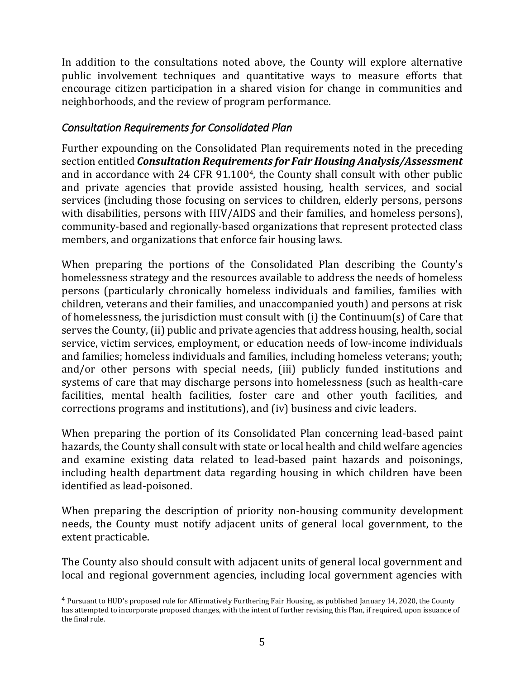In addition to the consultations noted above, the County will explore alternative public involvement techniques and quantitative ways to measure efforts that encourage citizen participation in a shared vision for change in communities and neighborhoods, and the review of program performance.

#### <span id="page-4-0"></span>*Consultation Requirements for Consolidated Plan*

Further expounding on the Consolidated Plan requirements noted in the preceding section entitled *Consultation Requirements for Fair Housing Analysis/Assessment* and in accordance with 24 CFR 91.1004, the County shall consult with other public and private agencies that provide assisted housing, health services, and social services (including those focusing on services to children, elderly persons, persons with disabilities, persons with HIV/AIDS and their families, and homeless persons), community-based and regionally-based organizations that represent protected class members, and organizations that enforce fair housing laws.

When preparing the portions of the Consolidated Plan describing the County's homelessness strategy and the resources available to address the needs of homeless persons (particularly chronically homeless individuals and families, families with children, veterans and their families, and unaccompanied youth) and persons at risk of homelessness, the jurisdiction must consult with (i) the Continuum(s) of Care that serves the County, (ii) public and private agencies that address housing, health, social service, victim services, employment, or education needs of low-income individuals and families; homeless individuals and families, including homeless veterans; youth; and/or other persons with special needs, (iii) publicly funded institutions and systems of care that may discharge persons into homelessness (such as health-care facilities, mental health facilities, foster care and other youth facilities, and corrections programs and institutions), and (iv) business and civic leaders.

When preparing the portion of its Consolidated Plan concerning lead-based paint hazards, the County shall consult with state or local health and child welfare agencies and examine existing data related to lead-based paint hazards and poisonings, including health department data regarding housing in which children have been identified as lead-poisoned.

When preparing the description of priority non-housing community development needs, the County must notify adjacent units of general local government, to the extent practicable.

The County also should consult with adjacent units of general local government and local and regional government agencies, including local government agencies with

<sup>4</sup> Pursuant to HUD's proposed rule for Affirmatively Furthering Fair Housing, as published January 14, 2020, the County has attempted to incorporate proposed changes, with the intent of further revising this Plan, if required, upon issuance of the final rule.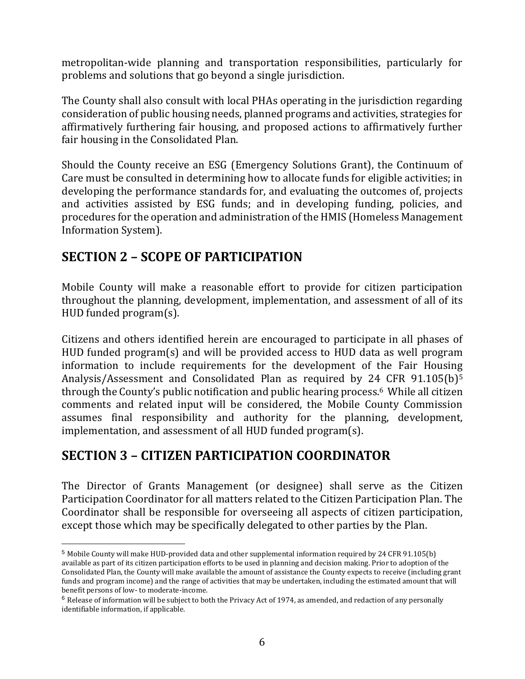metropolitan-wide planning and transportation responsibilities, particularly for problems and solutions that go beyond a single jurisdiction.

The County shall also consult with local PHAs operating in the jurisdiction regarding consideration of public housing needs, planned programs and activities, strategies for affirmatively furthering fair housing, and proposed actions to affirmatively further fair housing in the Consolidated Plan.

Should the County receive an ESG (Emergency Solutions Grant), the Continuum of Care must be consulted in determining how to allocate funds for eligible activities; in developing the performance standards for, and evaluating the outcomes of, projects and activities assisted by ESG funds; and in developing funding, policies, and procedures for the operation and administration of the HMIS (Homeless Management Information System).

## <span id="page-5-0"></span>**SECTION 2 – SCOPE OF PARTICIPATION**

 $\overline{a}$ 

Mobile County will make a reasonable effort to provide for citizen participation throughout the planning, development, implementation, and assessment of all of its HUD funded program(s).

Citizens and others identified herein are encouraged to participate in all phases of HUD funded program(s) and will be provided access to HUD data as well program information to include requirements for the development of the Fair Housing Analysis/Assessment and Consolidated Plan as required by 24 CFR 91.105(b)<sup>5</sup> through the County's public notification and public hearing process.6 While all citizen comments and related input will be considered, the Mobile County Commission assumes final responsibility and authority for the planning, development, implementation, and assessment of all HUD funded program(s).

## <span id="page-5-1"></span>**SECTION 3 – CITIZEN PARTICIPATION COORDINATOR**

The Director of Grants Management (or designee) shall serve as the Citizen Participation Coordinator for all matters related to the Citizen Participation Plan. The Coordinator shall be responsible for overseeing all aspects of citizen participation, except those which may be specifically delegated to other parties by the Plan.

<sup>5</sup> Mobile County will make HUD-provided data and other supplemental information required by 24 CFR 91.105(b) available as part of its citizen participation efforts to be used in planning and decision making. Prior to adoption of the Consolidated Plan, the County will make available the amount of assistance the County expects to receive (including grant funds and program income) and the range of activities that may be undertaken, including the estimated amount that will benefit persons of low- to moderate-income.

 $6$  Release of information will be subject to both the Privacy Act of 1974, as amended, and redaction of any personally identifiable information, if applicable.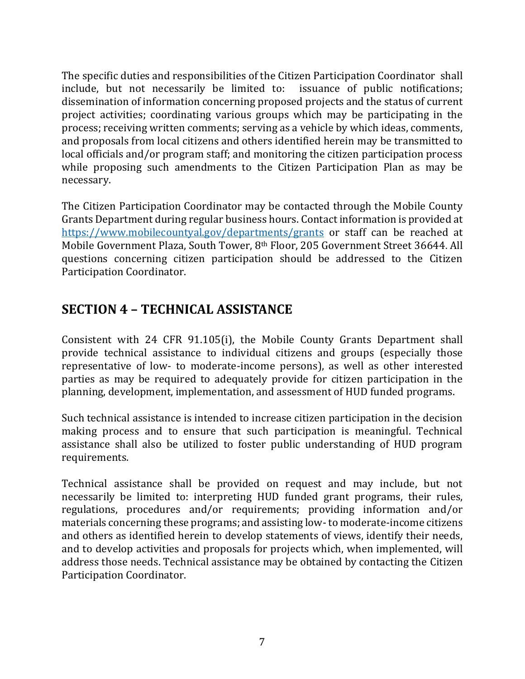The specific duties and responsibilities of the Citizen Participation Coordinator shall include, but not necessarily be limited to: issuance of public notifications; dissemination of information concerning proposed projects and the status of current project activities; coordinating various groups which may be participating in the process; receiving written comments; serving as a vehicle by which ideas, comments, and proposals from local citizens and others identified herein may be transmitted to local officials and/or program staff; and monitoring the citizen participation process while proposing such amendments to the Citizen Participation Plan as may be necessary.

The Citizen Participation Coordinator may be contacted through the Mobile County Grants Department during regular business hours. Contact information is provided at [https://www.mobilecountyal.gov/departments/grants](https://www.mobilecountyal.gov/departments/grants/) or staff can be reached at Mobile Government Plaza, South Tower, 8th Floor, 205 Government Street 36644. All questions concerning citizen participation should be addressed to the Citizen Participation Coordinator.

## <span id="page-6-0"></span>**SECTION 4 – TECHNICAL ASSISTANCE**

Consistent with 24 CFR 91.105(i), the Mobile County Grants Department shall provide technical assistance to individual citizens and groups (especially those representative of low- to moderate-income persons), as well as other interested parties as may be required to adequately provide for citizen participation in the planning, development, implementation, and assessment of HUD funded programs.

Such technical assistance is intended to increase citizen participation in the decision making process and to ensure that such participation is meaningful. Technical assistance shall also be utilized to foster public understanding of HUD program requirements.

Technical assistance shall be provided on request and may include, but not necessarily be limited to: interpreting HUD funded grant programs, their rules, regulations, procedures and/or requirements; providing information and/or materials concerning these programs; and assisting low- to moderate-income citizens and others as identified herein to develop statements of views, identify their needs, and to develop activities and proposals for projects which, when implemented, will address those needs. Technical assistance may be obtained by contacting the Citizen Participation Coordinator.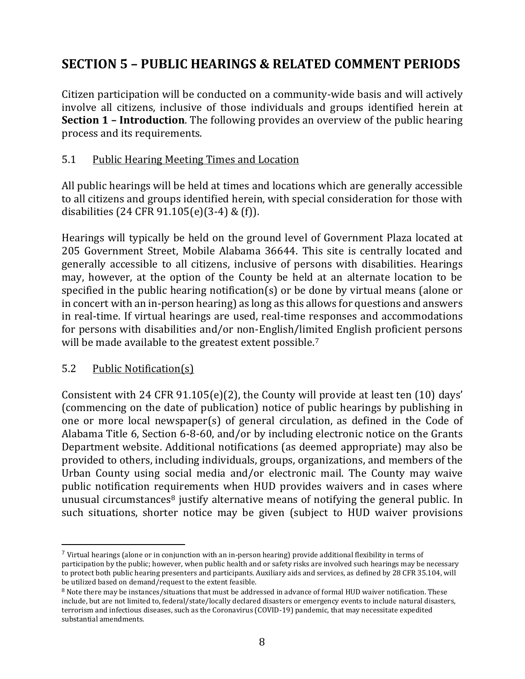## <span id="page-7-0"></span>**SECTION 5 – PUBLIC HEARINGS & RELATED COMMENT PERIODS**

Citizen participation will be conducted on a community-wide basis and will actively involve all citizens, inclusive of those individuals and groups identified herein at **Section 1 – Introduction**. The following provides an overview of the public hearing process and its requirements.

#### 5.1 Public Hearing Meeting Times and Location

All public hearings will be held at times and locations which are generally accessible to all citizens and groups identified herein, with special consideration for those with disabilities (24 CFR 91.105(e)(3-4) & (f)).

Hearings will typically be held on the ground level of Government Plaza located at 205 Government Street, Mobile Alabama 36644. This site is centrally located and generally accessible to all citizens, inclusive of persons with disabilities. Hearings may, however, at the option of the County be held at an alternate location to be specified in the public hearing notification(s) or be done by virtual means (alone or in concert with an in-person hearing) as long as this allows for questions and answers in real-time. If virtual hearings are used, real-time responses and accommodations for persons with disabilities and/or non-English/limited English proficient persons will be made available to the greatest extent possible.<sup>7</sup>

#### 5.2 Public Notification(s)

 $\overline{a}$ 

Consistent with 24 CFR 91.105(e)(2), the County will provide at least ten (10) days' (commencing on the date of publication) notice of public hearings by publishing in one or more local newspaper(s) of general circulation, as defined in the Code of Alabama Title 6, Section 6-8-60, and/or by including electronic notice on the Grants Department website. Additional notifications (as deemed appropriate) may also be provided to others, including individuals, groups, organizations, and members of the Urban County using social media and/or electronic mail. The County may waive public notification requirements when HUD provides waivers and in cases where unusual circumstances<sup>8</sup> justify alternative means of notifying the general public. In such situations, shorter notice may be given (subject to HUD waiver provisions

 $7$  Virtual hearings (alone or in conjunction with an in-person hearing) provide additional flexibility in terms of participation by the public; however, when public health and or safety risks are involved such hearings may be necessary to protect both public hearing presenters and participants. Auxiliary aids and services, as defined by 28 CFR 35.104, will be utilized based on demand/request to the extent feasible.

<sup>8</sup> Note there may be instances/situations that must be addressed in advance of formal HUD waiver notification. These include, but are not limited to, federal/state/locally declared disasters or emergency events to include natural disasters, terrorism and infectious diseases, such as the Coronavirus (COVID-19) pandemic, that may necessitate expedited substantial amendments.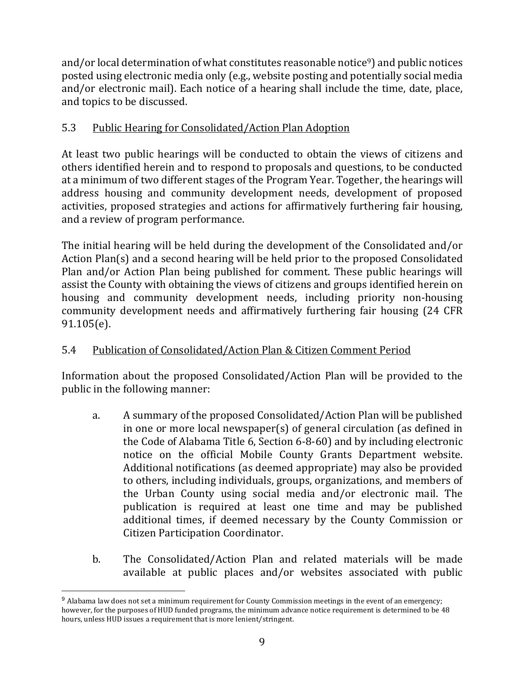and/or local determination of what constitutes reasonable notice<sup>9</sup>) and public notices posted using electronic media only (e.g., website posting and potentially social media and/or electronic mail). Each notice of a hearing shall include the time, date, place, and topics to be discussed.

#### 5.3 Public Hearing for Consolidated/Action Plan Adoption

At least two public hearings will be conducted to obtain the views of citizens and others identified herein and to respond to proposals and questions, to be conducted at a minimum of two different stages of the Program Year. Together, the hearings will address housing and community development needs, development of proposed activities, proposed strategies and actions for affirmatively furthering fair housing, and a review of program performance.

The initial hearing will be held during the development of the Consolidated and/or Action Plan(s) and a second hearing will be held prior to the proposed Consolidated Plan and/or Action Plan being published for comment. These public hearings will assist the County with obtaining the views of citizens and groups identified herein on housing and community development needs, including priority non-housing community development needs and affirmatively furthering fair housing (24 CFR 91.105(e).

#### 5.4 Publication of Consolidated/Action Plan & Citizen Comment Period

Information about the proposed Consolidated/Action Plan will be provided to the public in the following manner:

- a. A summary of the proposed Consolidated/Action Plan will be published in one or more local newspaper(s) of general circulation (as defined in the Code of Alabama Title 6, Section 6-8-60) and by including electronic notice on the official Mobile County Grants Department website. Additional notifications (as deemed appropriate) may also be provided to others, including individuals, groups, organizations, and members of the Urban County using social media and/or electronic mail. The publication is required at least one time and may be published additional times, if deemed necessary by the County Commission or Citizen Participation Coordinator.
- b. The Consolidated/Action Plan and related materials will be made available at public places and/or websites associated with public

<sup>9</sup> Alabama law does not set a minimum requirement for County Commission meetings in the event of an emergency; however, for the purposes of HUD funded programs, the minimum advance notice requirement is determined to be 48 hours, unless HUD issues a requirement that is more lenient/stringent.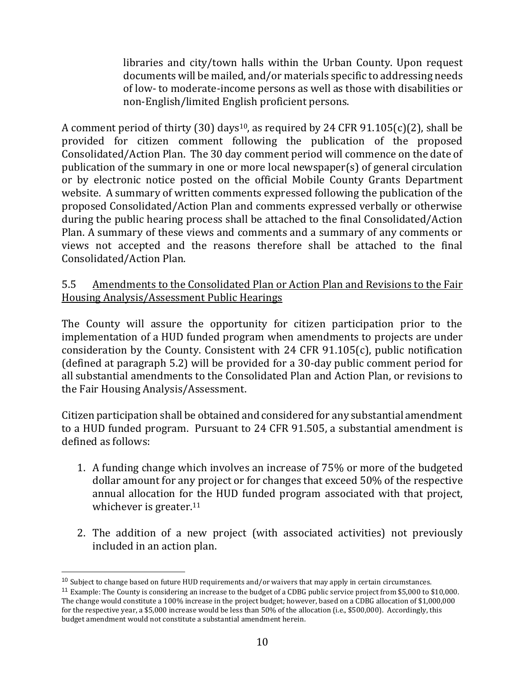libraries and city/town halls within the Urban County. Upon request documents will be mailed, and/or materials specific to addressing needs of low- to moderate-income persons as well as those with disabilities or non-English/limited English proficient persons.

A comment period of thirty (30) days<sup>10</sup>, as required by 24 CFR 91.105(c)(2), shall be provided for citizen comment following the publication of the proposed Consolidated/Action Plan. The 30 day comment period will commence on the date of publication of the summary in one or more local newspaper(s) of general circulation or by electronic notice posted on the official Mobile County Grants Department website. A summary of written comments expressed following the publication of the proposed Consolidated/Action Plan and comments expressed verbally or otherwise during the public hearing process shall be attached to the final Consolidated/Action Plan. A summary of these views and comments and a summary of any comments or views not accepted and the reasons therefore shall be attached to the final Consolidated/Action Plan.

#### 5.5 Amendments to the Consolidated Plan or Action Plan and Revisions to the Fair Housing Analysis/Assessment Public Hearings

The County will assure the opportunity for citizen participation prior to the implementation of a HUD funded program when amendments to projects are under consideration by the County. Consistent with 24 CFR 91.105(c), public notification (defined at paragraph 5.2) will be provided for a 30-day public comment period for all substantial amendments to the Consolidated Plan and Action Plan, or revisions to the Fair Housing Analysis/Assessment.

Citizen participation shall be obtained and considered for any substantial amendment to a HUD funded program. Pursuant to 24 CFR 91.505, a substantial amendment is defined as follows:

- 1. A funding change which involves an increase of 75% or more of the budgeted dollar amount for any project or for changes that exceed 50% of the respective annual allocation for the HUD funded program associated with that project, whichever is greater.<sup>11</sup>
- 2. The addition of a new project (with associated activities) not previously included in an action plan.

<sup>&</sup>lt;sup>10</sup> Subject to change based on future HUD requirements and/or waivers that may apply in certain circumstances.

<sup>11</sup> Example: The County is considering an increase to the budget of a CDBG public service project from \$5,000 to \$10,000. The change would constitute a 100% increase in the project budget; however, based on a CDBG allocation of \$1,000,000 for the respective year, a \$5,000 increase would be less than 50% of the allocation (i.e., \$500,000). Accordingly, this budget amendment would not constitute a substantial amendment herein.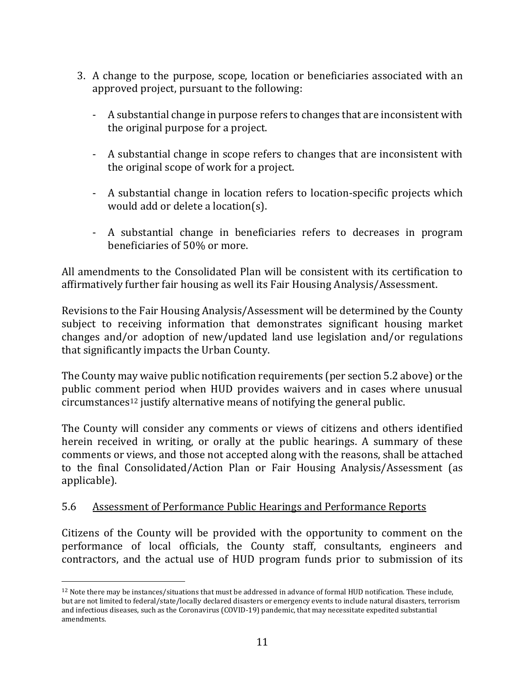- 3. A change to the purpose, scope, location or beneficiaries associated with an approved project, pursuant to the following:
	- A substantial change in purpose refers to changes that are inconsistent with the original purpose for a project.
	- A substantial change in scope refers to changes that are inconsistent with the original scope of work for a project.
	- A substantial change in location refers to location-specific projects which would add or delete a location(s).
	- A substantial change in beneficiaries refers to decreases in program beneficiaries of 50% or more.

All amendments to the Consolidated Plan will be consistent with its certification to affirmatively further fair housing as well its Fair Housing Analysis/Assessment.

Revisions to the Fair Housing Analysis/Assessment will be determined by the County subject to receiving information that demonstrates significant housing market changes and/or adoption of new/updated land use legislation and/or regulations that significantly impacts the Urban County.

The County may waive public notification requirements (per section 5.2 above) or the public comment period when HUD provides waivers and in cases where unusual circumstances<sup>12</sup> justify alternative means of notifying the general public.

The County will consider any comments or views of citizens and others identified herein received in writing, or orally at the public hearings. A summary of these comments or views, and those not accepted along with the reasons, shall be attached to the final Consolidated/Action Plan or Fair Housing Analysis/Assessment (as applicable).

#### 5.6 Assessment of Performance Public Hearings and Performance Reports

 $\overline{a}$ 

Citizens of the County will be provided with the opportunity to comment on the performance of local officials, the County staff, consultants, engineers and contractors, and the actual use of HUD program funds prior to submission of its

<sup>12</sup> Note there may be instances/situations that must be addressed in advance of formal HUD notification. These include, but are not limited to federal/state/locally declared disasters or emergency events to include natural disasters, terrorism and infectious diseases, such as the Coronavirus (COVID-19) pandemic, that may necessitate expedited substantial amendments.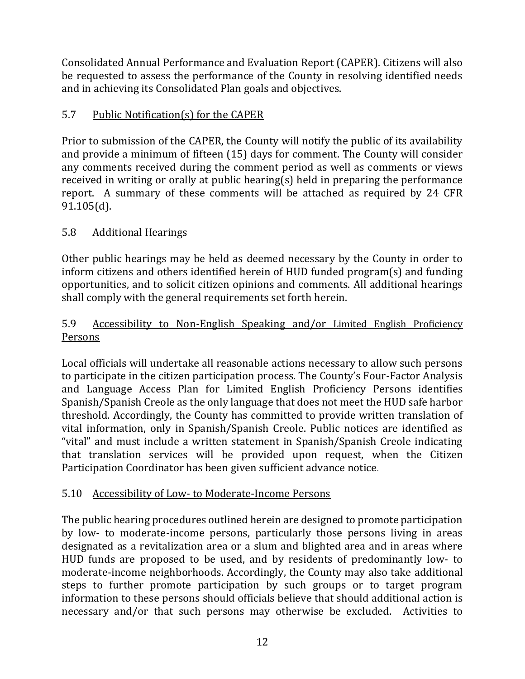Consolidated Annual Performance and Evaluation Report (CAPER). Citizens will also be requested to assess the performance of the County in resolving identified needs and in achieving its Consolidated Plan goals and objectives.

#### 5.7 Public Notification(s) for the CAPER

Prior to submission of the CAPER, the County will notify the public of its availability and provide a minimum of fifteen (15) days for comment. The County will consider any comments received during the comment period as well as comments or views received in writing or orally at public hearing(s) held in preparing the performance report. A summary of these comments will be attached as required by 24 CFR 91.105(d).

#### 5.8 Additional Hearings

Other public hearings may be held as deemed necessary by the County in order to inform citizens and others identified herein of HUD funded program(s) and funding opportunities, and to solicit citizen opinions and comments. All additional hearings shall comply with the general requirements set forth herein.

#### 5.9 Accessibility to Non-English Speaking and/or Limited English Proficiency Persons

Local officials will undertake all reasonable actions necessary to allow such persons to participate in the citizen participation process. The County's Four-Factor Analysis and Language Access Plan for Limited English Proficiency Persons identifies Spanish/Spanish Creole as the only language that does not meet the HUD safe harbor threshold. Accordingly, the County has committed to provide written translation of vital information, only in Spanish/Spanish Creole. Public notices are identified as "vital" and must include a written statement in Spanish/Spanish Creole indicating that translation services will be provided upon request, when the Citizen Participation Coordinator has been given sufficient advance notice.

#### 5.10 Accessibility of Low- to Moderate-Income Persons

The public hearing procedures outlined herein are designed to promote participation by low- to moderate-income persons, particularly those persons living in areas designated as a revitalization area or a slum and blighted area and in areas where HUD funds are proposed to be used, and by residents of predominantly low- to moderate-income neighborhoods. Accordingly, the County may also take additional steps to further promote participation by such groups or to target program information to these persons should officials believe that should additional action is necessary and/or that such persons may otherwise be excluded. Activities to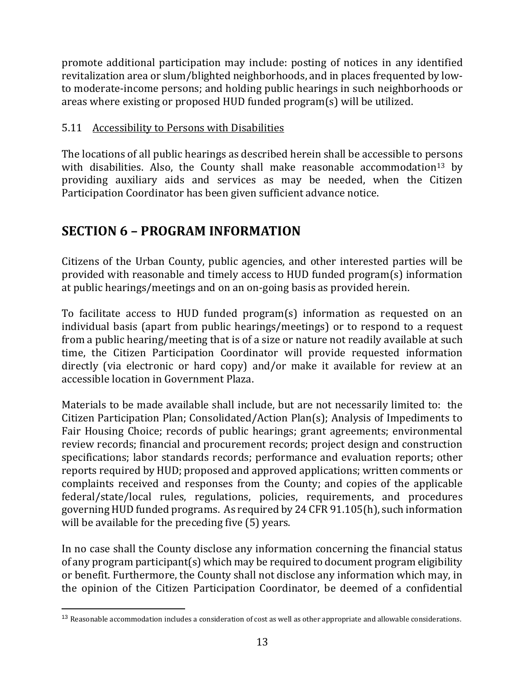promote additional participation may include: posting of notices in any identified revitalization area or slum/blighted neighborhoods, and in places frequented by lowto moderate-income persons; and holding public hearings in such neighborhoods or areas where existing or proposed HUD funded program(s) will be utilized.

#### 5.11 Accessibility to Persons with Disabilities

The locations of all public hearings as described herein shall be accessible to persons with disabilities. Also, the County shall make reasonable accommodation<sup>13</sup> by providing auxiliary aids and services as may be needed, when the Citizen Participation Coordinator has been given sufficient advance notice.

## <span id="page-12-0"></span>**SECTION 6 – PROGRAM INFORMATION**

 $\overline{a}$ 

Citizens of the Urban County, public agencies, and other interested parties will be provided with reasonable and timely access to HUD funded program(s) information at public hearings/meetings and on an on-going basis as provided herein.

To facilitate access to HUD funded program(s) information as requested on an individual basis (apart from public hearings/meetings) or to respond to a request from a public hearing/meeting that is of a size or nature not readily available at such time, the Citizen Participation Coordinator will provide requested information directly (via electronic or hard copy) and/or make it available for review at an accessible location in Government Plaza.

Materials to be made available shall include, but are not necessarily limited to: the Citizen Participation Plan; Consolidated/Action Plan(s); Analysis of Impediments to Fair Housing Choice; records of public hearings; grant agreements; environmental review records; financial and procurement records; project design and construction specifications; labor standards records; performance and evaluation reports; other reports required by HUD; proposed and approved applications; written comments or complaints received and responses from the County; and copies of the applicable federal/state/local rules, regulations, policies, requirements, and procedures governing HUD funded programs. As required by 24 CFR 91.105(h), such information will be available for the preceding five (5) years.

In no case shall the County disclose any information concerning the financial status of any program participant(s) which may be required to document program eligibility or benefit. Furthermore, the County shall not disclose any information which may, in the opinion of the Citizen Participation Coordinator, be deemed of a confidential

<sup>&</sup>lt;sup>13</sup> Reasonable accommodation includes a consideration of cost as well as other appropriate and allowable considerations.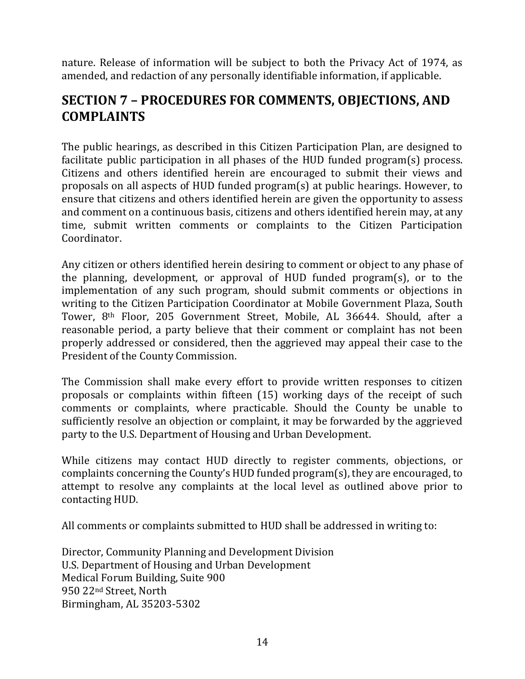nature. Release of information will be subject to both the Privacy Act of 1974, as amended, and redaction of any personally identifiable information, if applicable.

## <span id="page-13-0"></span>**SECTION 7 – PROCEDURES FOR COMMENTS, OBJECTIONS, AND COMPLAINTS**

The public hearings, as described in this Citizen Participation Plan, are designed to facilitate public participation in all phases of the HUD funded program(s) process. Citizens and others identified herein are encouraged to submit their views and proposals on all aspects of HUD funded program(s) at public hearings. However, to ensure that citizens and others identified herein are given the opportunity to assess and comment on a continuous basis, citizens and others identified herein may, at any time, submit written comments or complaints to the Citizen Participation Coordinator.

Any citizen or others identified herein desiring to comment or object to any phase of the planning, development, or approval of HUD funded program(s), or to the implementation of any such program, should submit comments or objections in writing to the Citizen Participation Coordinator at Mobile Government Plaza, South Tower, 8th Floor, 205 Government Street, Mobile, AL 36644. Should, after a reasonable period, a party believe that their comment or complaint has not been properly addressed or considered, then the aggrieved may appeal their case to the President of the County Commission.

The Commission shall make every effort to provide written responses to citizen proposals or complaints within fifteen (15) working days of the receipt of such comments or complaints, where practicable. Should the County be unable to sufficiently resolve an objection or complaint, it may be forwarded by the aggrieved party to the U.S. Department of Housing and Urban Development.

While citizens may contact HUD directly to register comments, objections, or complaints concerning the County's HUD funded program(s), they are encouraged, to attempt to resolve any complaints at the local level as outlined above prior to contacting HUD.

All comments or complaints submitted to HUD shall be addressed in writing to:

Director, Community Planning and Development Division U.S. Department of Housing and Urban Development Medical Forum Building, Suite 900 950 22nd Street, North Birmingham, AL 35203-5302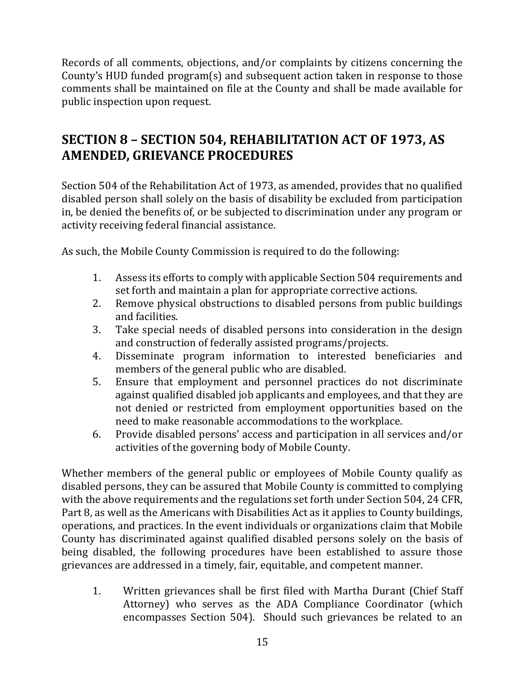Records of all comments, objections, and/or complaints by citizens concerning the County's HUD funded program(s) and subsequent action taken in response to those comments shall be maintained on file at the County and shall be made available for public inspection upon request.

## <span id="page-14-0"></span>**SECTION 8 – SECTION 504, REHABILITATION ACT OF 1973, AS AMENDED, GRIEVANCE PROCEDURES**

Section 504 of the Rehabilitation Act of 1973, as amended, provides that no qualified disabled person shall solely on the basis of disability be excluded from participation in, be denied the benefits of, or be subjected to discrimination under any program or activity receiving federal financial assistance.

As such, the Mobile County Commission is required to do the following:

- 1. Assess its efforts to comply with applicable Section 504 requirements and set forth and maintain a plan for appropriate corrective actions.
- 2. Remove physical obstructions to disabled persons from public buildings and facilities.
- 3. Take special needs of disabled persons into consideration in the design and construction of federally assisted programs/projects.
- 4. Disseminate program information to interested beneficiaries and members of the general public who are disabled.
- 5. Ensure that employment and personnel practices do not discriminate against qualified disabled job applicants and employees, and that they are not denied or restricted from employment opportunities based on the need to make reasonable accommodations to the workplace.
- 6. Provide disabled persons' access and participation in all services and/or activities of the governing body of Mobile County.

Whether members of the general public or employees of Mobile County qualify as disabled persons, they can be assured that Mobile County is committed to complying with the above requirements and the regulations set forth under Section 504, 24 CFR, Part 8, as well as the Americans with Disabilities Act as it applies to County buildings, operations, and practices. In the event individuals or organizations claim that Mobile County has discriminated against qualified disabled persons solely on the basis of being disabled, the following procedures have been established to assure those grievances are addressed in a timely, fair, equitable, and competent manner.

1. Written grievances shall be first filed with Martha Durant (Chief Staff Attorney) who serves as the ADA Compliance Coordinator (which encompasses Section 504). Should such grievances be related to an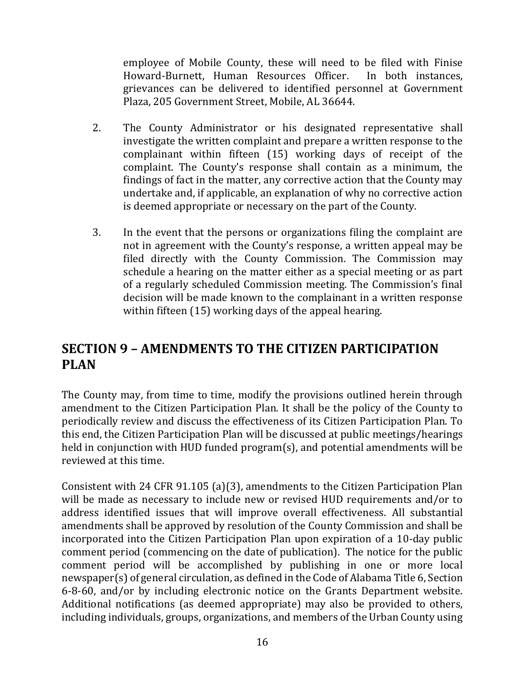employee of Mobile County, these will need to be filed with Finise Howard-Burnett, Human Resources Officer. In both instances, grievances can be delivered to identified personnel at Government Plaza, 205 Government Street, Mobile, AL 36644.

- 2. The County Administrator or his designated representative shall investigate the written complaint and prepare a written response to the complainant within fifteen (15) working days of receipt of the complaint. The County's response shall contain as a minimum, the findings of fact in the matter, any corrective action that the County may undertake and, if applicable, an explanation of why no corrective action is deemed appropriate or necessary on the part of the County.
- 3. In the event that the persons or organizations filing the complaint are not in agreement with the County's response, a written appeal may be filed directly with the County Commission. The Commission may schedule a hearing on the matter either as a special meeting or as part of a regularly scheduled Commission meeting. The Commission's final decision will be made known to the complainant in a written response within fifteen (15) working days of the appeal hearing.

## <span id="page-15-0"></span>**SECTION 9 – AMENDMENTS TO THE CITIZEN PARTICIPATION PLAN**

The County may, from time to time, modify the provisions outlined herein through amendment to the Citizen Participation Plan. It shall be the policy of the County to periodically review and discuss the effectiveness of its Citizen Participation Plan. To this end, the Citizen Participation Plan will be discussed at public meetings/hearings held in conjunction with HUD funded program(s), and potential amendments will be reviewed at this time.

Consistent with 24 CFR 91.105 (a)(3), amendments to the Citizen Participation Plan will be made as necessary to include new or revised HUD requirements and/or to address identified issues that will improve overall effectiveness. All substantial amendments shall be approved by resolution of the County Commission and shall be incorporated into the Citizen Participation Plan upon expiration of a 10-day public comment period (commencing on the date of publication). The notice for the public comment period will be accomplished by publishing in one or more local newspaper(s) of general circulation, as defined in the Code of Alabama Title 6, Section 6-8-60, and/or by including electronic notice on the Grants Department website. Additional notifications (as deemed appropriate) may also be provided to others, including individuals, groups, organizations, and members of the Urban County using